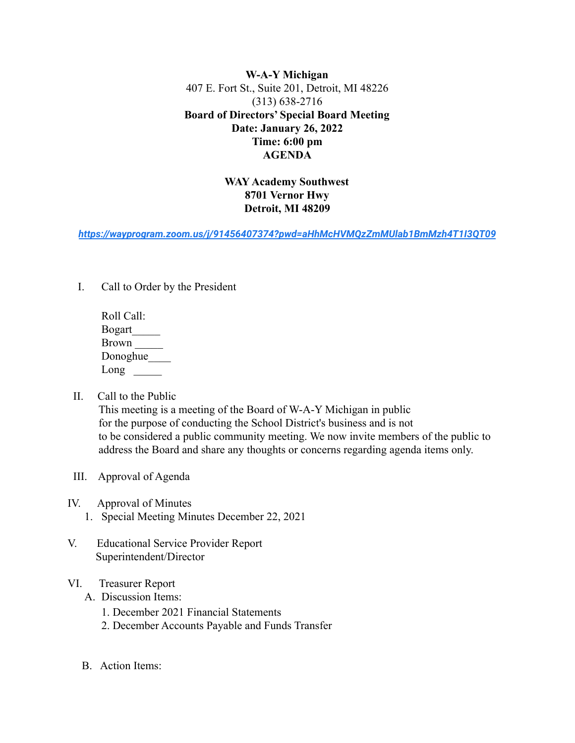**W-A-Y Michigan** 407 E. Fort St., Suite 201, Detroit, MI 48226 (313) 638-2716 **Board of Directors' Special Board Meeting Date: January 26, 2022 Time: 6:00 pm AGENDA**

## **WAY Academy Southwest 8701 Vernor Hwy Detroit, MI 48209**

*<https://wayprogram.zoom.us/j/91456407374?pwd=aHhMcHVMQzZmMUlab1BmMzh4T1I3QT09>*

I. Call to Order by the President

| Roll Call:    |
|---------------|
| <b>Bogart</b> |
| <b>Brown</b>  |
| Donoghue      |
| Long          |

II. Call to the Public

This meeting is a meeting of the Board of W-A-Y Michigan in public for the purpose of conducting the School District's business and is not to be considered a public community meeting. We now invite members of the public to address the Board and share any thoughts or concerns regarding agenda items only.

- III. Approval of Agenda
- IV. Approval of Minutes
	- 1. Special Meeting Minutes December 22, 2021
- V. Educational Service Provider Report Superintendent/Director
- VI. Treasurer Report
	- A. Discussion Items:
		- 1. December 2021 Financial Statements
		- 2. December Accounts Payable and Funds Transfer
	- B. Action Items: